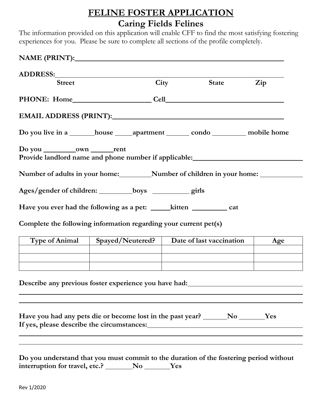## **FELINE FOSTER APPLICATION Caring Fields Felines**

The information provided on this application will enable CFF to find the most satisfying fostering experiences for you. Please be sure to complete all sections of the profile completely.

| ADDRESS:       |                                                                                                                                    |                                             |                |
|----------------|------------------------------------------------------------------------------------------------------------------------------------|---------------------------------------------|----------------|
| <b>Street</b>  |                                                                                                                                    | City State                                  | $\mathbf{Zip}$ |
|                |                                                                                                                                    |                                             |                |
|                |                                                                                                                                    |                                             |                |
|                |                                                                                                                                    |                                             |                |
|                |                                                                                                                                    |                                             |                |
|                | Number of adults in your home:___________Number of children in your home: ___________                                              |                                             |                |
|                | Ages/gender of children: __________boys ___________ girls                                                                          |                                             |                |
|                |                                                                                                                                    |                                             |                |
|                | Complete the following information regarding your current pet(s)                                                                   |                                             |                |
| Type of Animal |                                                                                                                                    | Spayed/Neutered?   Date of last vaccination | Age            |
|                |                                                                                                                                    |                                             |                |
|                | Describe any previous foster experience you have had:                                                                              |                                             |                |
|                | Have you had any pets die or become lost in the past year? _______No _______Yes                                                    |                                             |                |
|                | Do you understand that you must commit to the duration of the fostering period without<br>interruption for travel, etc.? No No Nes |                                             |                |